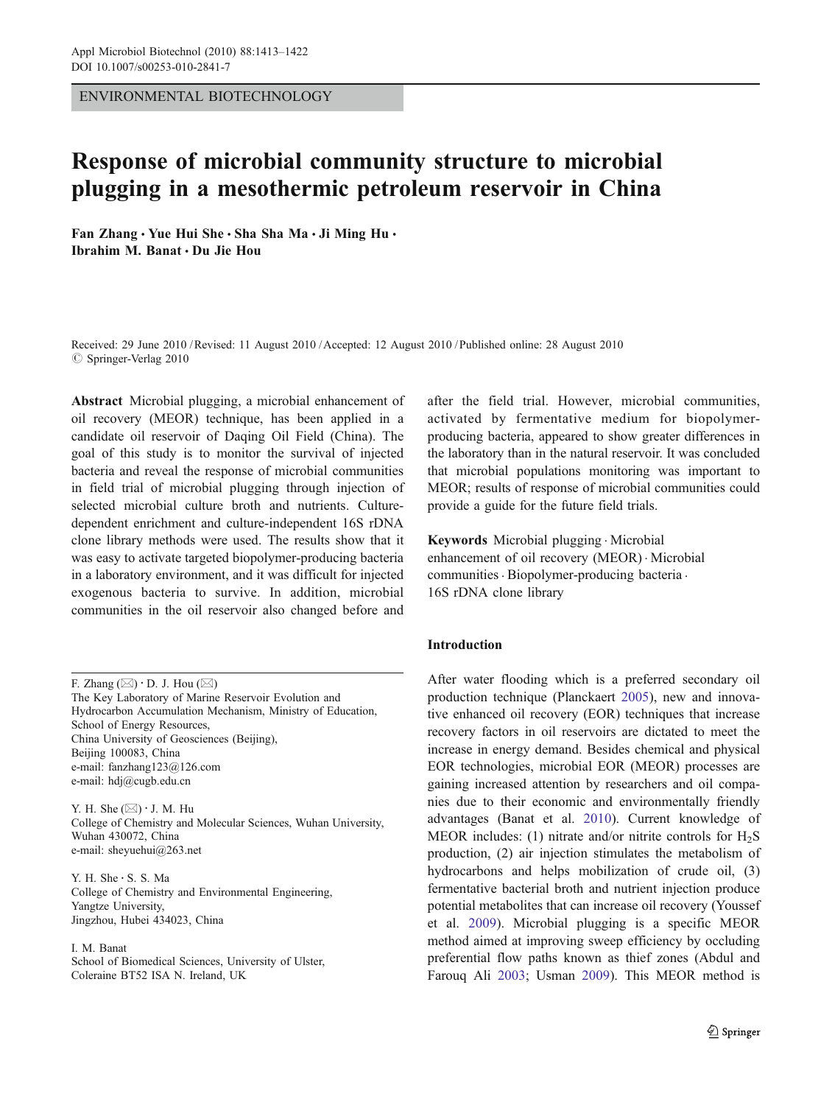ENVIRONMENTAL BIOTECHNOLOGY

# Response of microbial community structure to microbial plugging in a mesothermic petroleum reservoir in China

Fan Zhang • Yue Hui She • Sha Sha Ma • Ji Ming Hu • Ibrahim M. Banat & Du Jie Hou

Received: 29 June 2010 /Revised: 11 August 2010 /Accepted: 12 August 2010 / Published online: 28 August 2010  $©$  Springer-Verlag 2010

Abstract Microbial plugging, a microbial enhancement of oil recovery (MEOR) technique, has been applied in a candidate oil reservoir of Daqing Oil Field (China). The goal of this study is to monitor the survival of injected bacteria and reveal the response of microbial communities in field trial of microbial plugging through injection of selected microbial culture broth and nutrients. Culturedependent enrichment and culture-independent 16S rDNA clone library methods were used. The results show that it was easy to activate targeted biopolymer-producing bacteria in a laboratory environment, and it was difficult for injected exogenous bacteria to survive. In addition, microbial communities in the oil reservoir also changed before and

The Key Laboratory of Marine Reservoir Evolution and Hydrocarbon Accumulation Mechanism, Ministry of Education, School of Energy Resources, China University of Geosciences (Beijing), Beijing 100083, China e-mail: fanzhang123@126.com e-mail: hdj@cugb.edu.cn

Y. H. She  $(\boxtimes) \cdot$  J. M. Hu College of Chemistry and Molecular Sciences, Wuhan University, Wuhan 430072, China e-mail: sheyuehui@263.net

Y. H. She : S. S. Ma College of Chemistry and Environmental Engineering, Yangtze University, Jingzhou, Hubei 434023, China

#### I. M. Banat

School of Biomedical Sciences, University of Ulster, Coleraine BT52 ISA N. Ireland, UK

after the field trial. However, microbial communities, activated by fermentative medium for biopolymerproducing bacteria, appeared to show greater differences in the laboratory than in the natural reservoir. It was concluded that microbial populations monitoring was important to MEOR; results of response of microbial communities could provide a guide for the future field trials.

Keywords Microbial plugging . Microbial enhancement of oil recovery (MEOR) . Microbial communities. Biopolymer-producing bacteria . 16S rDNA clone library

## Introduction

After water flooding which is a preferred secondary oil production technique (Planckaert [2005\)](#page-9-0), new and innovative enhanced oil recovery (EOR) techniques that increase recovery factors in oil reservoirs are dictated to meet the increase in energy demand. Besides chemical and physical EOR technologies, microbial EOR (MEOR) processes are gaining increased attention by researchers and oil companies due to their economic and environmentally friendly advantages (Banat et al. [2010\)](#page-8-0). Current knowledge of MEOR includes: (1) nitrate and/or nitrite controls for  $H_2S$ production, (2) air injection stimulates the metabolism of hydrocarbons and helps mobilization of crude oil, (3) fermentative bacterial broth and nutrient injection produce potential metabolites that can increase oil recovery (Youssef et al. [2009\)](#page-9-0). Microbial plugging is a specific MEOR method aimed at improving sweep efficiency by occluding preferential flow paths known as thief zones (Abdul and Farouq Ali [2003](#page-8-0); Usman [2009\)](#page-9-0). This MEOR method is

F. Zhang  $(\boxtimes) \cdot$  D. J. Hou  $(\boxtimes)$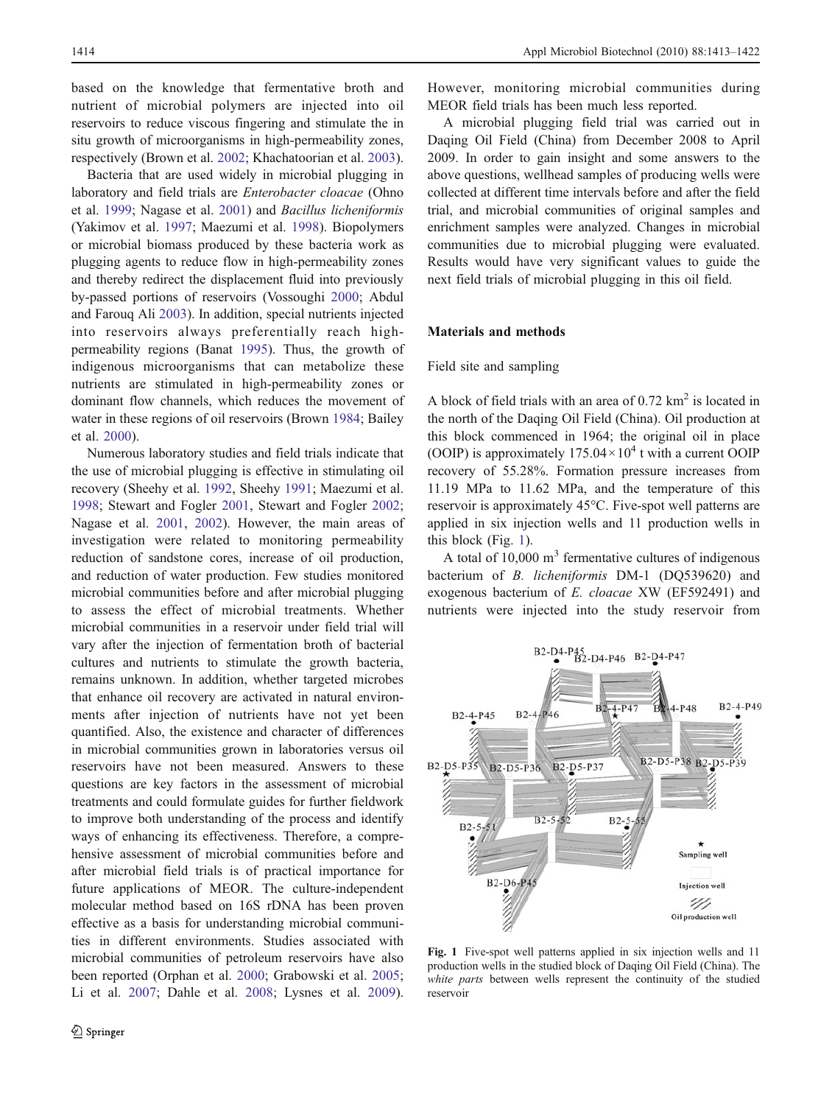based on the knowledge that fermentative broth and nutrient of microbial polymers are injected into oil reservoirs to reduce viscous fingering and stimulate the in situ growth of microorganisms in high-permeability zones, respectively (Brown et al. [2002;](#page-8-0) Khachatoorian et al. [2003](#page-8-0)).

Bacteria that are used widely in microbial plugging in laboratory and field trials are Enterobacter cloacae (Ohno et al. [1999;](#page-9-0) Nagase et al. [2001\)](#page-9-0) and Bacillus licheniformis (Yakimov et al. [1997;](#page-9-0) Maezumi et al. [1998\)](#page-8-0). Biopolymers or microbial biomass produced by these bacteria work as plugging agents to reduce flow in high-permeability zones and thereby redirect the displacement fluid into previously by-passed portions of reservoirs (Vossoughi [2000](#page-9-0); Abdul and Farouq Ali [2003\)](#page-8-0). In addition, special nutrients injected into reservoirs always preferentially reach highpermeability regions (Banat [1995\)](#page-8-0). Thus, the growth of indigenous microorganisms that can metabolize these nutrients are stimulated in high-permeability zones or dominant flow channels, which reduces the movement of water in these regions of oil reservoirs (Brown [1984](#page-8-0); Bailey et al. [2000](#page-8-0)).

Numerous laboratory studies and field trials indicate that the use of microbial plugging is effective in stimulating oil recovery (Sheehy et al. [1992](#page-9-0), Sheehy [1991;](#page-9-0) Maezumi et al. [1998;](#page-8-0) Stewart and Fogler [2001,](#page-9-0) Stewart and Fogler [2002](#page-9-0); Nagase et al. [2001,](#page-9-0) [2002](#page-9-0)). However, the main areas of investigation were related to monitoring permeability reduction of sandstone cores, increase of oil production, and reduction of water production. Few studies monitored microbial communities before and after microbial plugging to assess the effect of microbial treatments. Whether microbial communities in a reservoir under field trial will vary after the injection of fermentation broth of bacterial cultures and nutrients to stimulate the growth bacteria, remains unknown. In addition, whether targeted microbes that enhance oil recovery are activated in natural environments after injection of nutrients have not yet been quantified. Also, the existence and character of differences in microbial communities grown in laboratories versus oil reservoirs have not been measured. Answers to these questions are key factors in the assessment of microbial treatments and could formulate guides for further fieldwork to improve both understanding of the process and identify ways of enhancing its effectiveness. Therefore, a comprehensive assessment of microbial communities before and after microbial field trials is of practical importance for future applications of MEOR. The culture-independent molecular method based on 16S rDNA has been proven effective as a basis for understanding microbial communities in different environments. Studies associated with microbial communities of petroleum reservoirs have also been reported (Orphan et al. [2000;](#page-9-0) Grabowski et al. [2005](#page-8-0); Li et al. [2007;](#page-8-0) Dahle et al. [2008;](#page-8-0) Lysnes et al. [2009](#page-8-0)).

However, monitoring microbial communities during MEOR field trials has been much less reported.

A microbial plugging field trial was carried out in Daqing Oil Field (China) from December 2008 to April 2009. In order to gain insight and some answers to the above questions, wellhead samples of producing wells were collected at different time intervals before and after the field trial, and microbial communities of original samples and enrichment samples were analyzed. Changes in microbial communities due to microbial plugging were evaluated. Results would have very significant values to guide the next field trials of microbial plugging in this oil field.

## Materials and methods

#### Field site and sampling

A block of field trials with an area of  $0.72 \text{ km}^2$  is located in the north of the Daqing Oil Field (China). Oil production at this block commenced in 1964; the original oil in place (OOIP) is approximately  $175.04 \times 10^4$  t with a current OOIP recovery of 55.28%. Formation pressure increases from 11.19 MPa to 11.62 MPa, and the temperature of this reservoir is approximately 45°C. Five-spot well patterns are applied in six injection wells and 11 production wells in this block (Fig. 1).

A total of  $10,000 \text{ m}^3$  fermentative cultures of indigenous bacterium of B. licheniformis DM-1 (DQ539620) and exogenous bacterium of E. cloacae XW (EF592491) and nutrients were injected into the study reservoir from



Fig. 1 Five-spot well patterns applied in six injection wells and 11 production wells in the studied block of Daqing Oil Field (China). The white parts between wells represent the continuity of the studied reservoir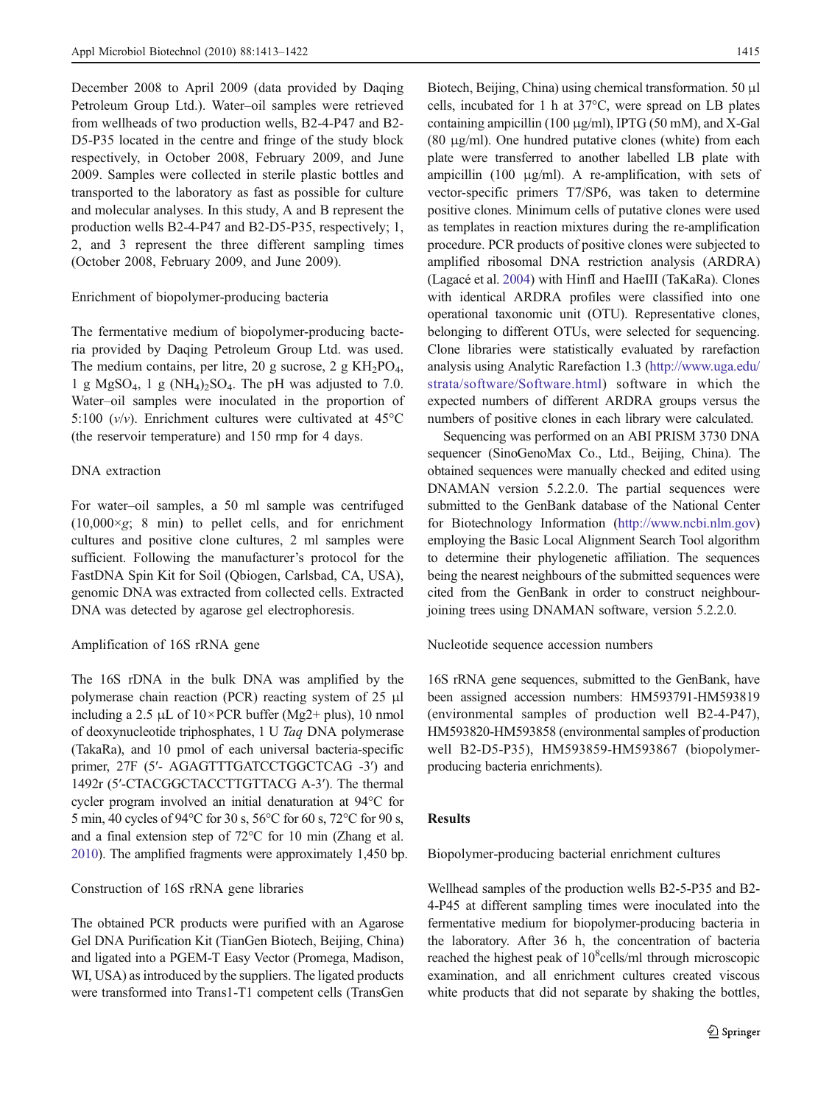December 2008 to April 2009 (data provided by Daqing Petroleum Group Ltd.). Water–oil samples were retrieved from wellheads of two production wells, B2-4-P47 and B2- D5-P35 located in the centre and fringe of the study block respectively, in October 2008, February 2009, and June 2009. Samples were collected in sterile plastic bottles and transported to the laboratory as fast as possible for culture and molecular analyses. In this study, A and B represent the production wells B2-4-P47 and B2-D5-P35, respectively; 1, 2, and 3 represent the three different sampling times (October 2008, February 2009, and June 2009).

### Enrichment of biopolymer-producing bacteria

The fermentative medium of biopolymer-producing bacteria provided by Daqing Petroleum Group Ltd. was used. The medium contains, per litre, 20 g sucrose, 2 g  $KH_2PO_4$ , 1 g MgSO<sub>4</sub>, 1 g (NH<sub>4</sub>)<sub>2</sub>SO<sub>4</sub>. The pH was adjusted to 7.0. Water–oil samples were inoculated in the proportion of 5:100  $(v/v)$ . Enrichment cultures were cultivated at 45 $\degree$ C (the reservoir temperature) and 150 rmp for 4 days.

## DNA extraction

For water–oil samples, a 50 ml sample was centrifuged  $(10,000\times g$ ; 8 min) to pellet cells, and for enrichment cultures and positive clone cultures, 2 ml samples were sufficient. Following the manufacturer's protocol for the FastDNA Spin Kit for Soil (Qbiogen, Carlsbad, CA, USA), genomic DNA was extracted from collected cells. Extracted DNA was detected by agarose gel electrophoresis.

#### Amplification of 16S rRNA gene

The 16S rDNA in the bulk DNA was amplified by the polymerase chain reaction (PCR) reacting system of 25 μl including a 2.5  $\mu$ L of 10×PCR buffer (Mg2+ plus), 10 nmol of deoxynucleotide triphosphates, 1 U Taq DNA polymerase (TakaRa), and 10 pmol of each universal bacteria-specific primer, 27F (5′- AGAGTTTGATCCTGGCTCAG -3′) and 1492r (5′-CTACGGCTACCTTGTTACG A-3′). The thermal cycler program involved an initial denaturation at 94°C for 5 min, 40 cycles of 94°C for 30 s, 56°C for 60 s, 72°C for 90 s, and a final extension step of 72°C for 10 min (Zhang et al. [2010](#page-9-0)). The amplified fragments were approximately 1,450 bp.

## Construction of 16S rRNA gene libraries

The obtained PCR products were purified with an Agarose Gel DNA Purification Kit (TianGen Biotech, Beijing, China) and ligated into a PGEM-T Easy Vector (Promega, Madison, WI, USA) as introduced by the suppliers. The ligated products were transformed into Trans1-T1 competent cells (TransGen

Biotech, Beijing, China) using chemical transformation. 50 μl cells, incubated for 1 h at 37°C, were spread on LB plates containing ampicillin (100  $\mu$ g/ml), IPTG (50 mM), and X-Gal (80 μg/ml). One hundred putative clones (white) from each plate were transferred to another labelled LB plate with ampicillin (100 μg/ml). A re-amplification, with sets of vector-specific primers T7/SP6, was taken to determine positive clones. Minimum cells of putative clones were used as templates in reaction mixtures during the re-amplification procedure. PCR products of positive clones were subjected to amplified ribosomal DNA restriction analysis (ARDRA) (Lagacé et al. [2004\)](#page-8-0) with HinfI and HaeIII (TaKaRa). Clones with identical ARDRA profiles were classified into one operational taxonomic unit (OTU). Representative clones, belonging to different OTUs, were selected for sequencing. Clone libraries were statistically evaluated by rarefaction analysis using Analytic Rarefaction 1.3 [\(http://www.uga.edu/](http://www.uga.edu/strata/software/Software.html) [strata/software/Software.html](http://www.uga.edu/strata/software/Software.html)) software in which the expected numbers of different ARDRA groups versus the numbers of positive clones in each library were calculated.

Sequencing was performed on an ABI PRISM 3730 DNA sequencer (SinoGenoMax Co., Ltd., Beijing, China). The obtained sequences were manually checked and edited using DNAMAN version 5.2.2.0. The partial sequences were submitted to the GenBank database of the National Center for Biotechnology Information (<http://www.ncbi.nlm.gov>) employing the Basic Local Alignment Search Tool algorithm to determine their phylogenetic affiliation. The sequences being the nearest neighbours of the submitted sequences were cited from the GenBank in order to construct neighbourjoining trees using DNAMAN software, version 5.2.2.0.

Nucleotide sequence accession numbers

16S rRNA gene sequences, submitted to the GenBank, have been assigned accession numbers: HM593791-HM593819 (environmental samples of production well B2-4-P47), HM593820-HM593858 (environmental samples of production well B2-D5-P35), HM593859-HM593867 (biopolymerproducing bacteria enrichments).

## Results

Biopolymer-producing bacterial enrichment cultures

Wellhead samples of the production wells B2-5-P35 and B2- 4-P45 at different sampling times were inoculated into the fermentative medium for biopolymer-producing bacteria in the laboratory. After 36 h, the concentration of bacteria reached the highest peak of 10<sup>8</sup>cells/ml through microscopic examination, and all enrichment cultures created viscous white products that did not separate by shaking the bottles,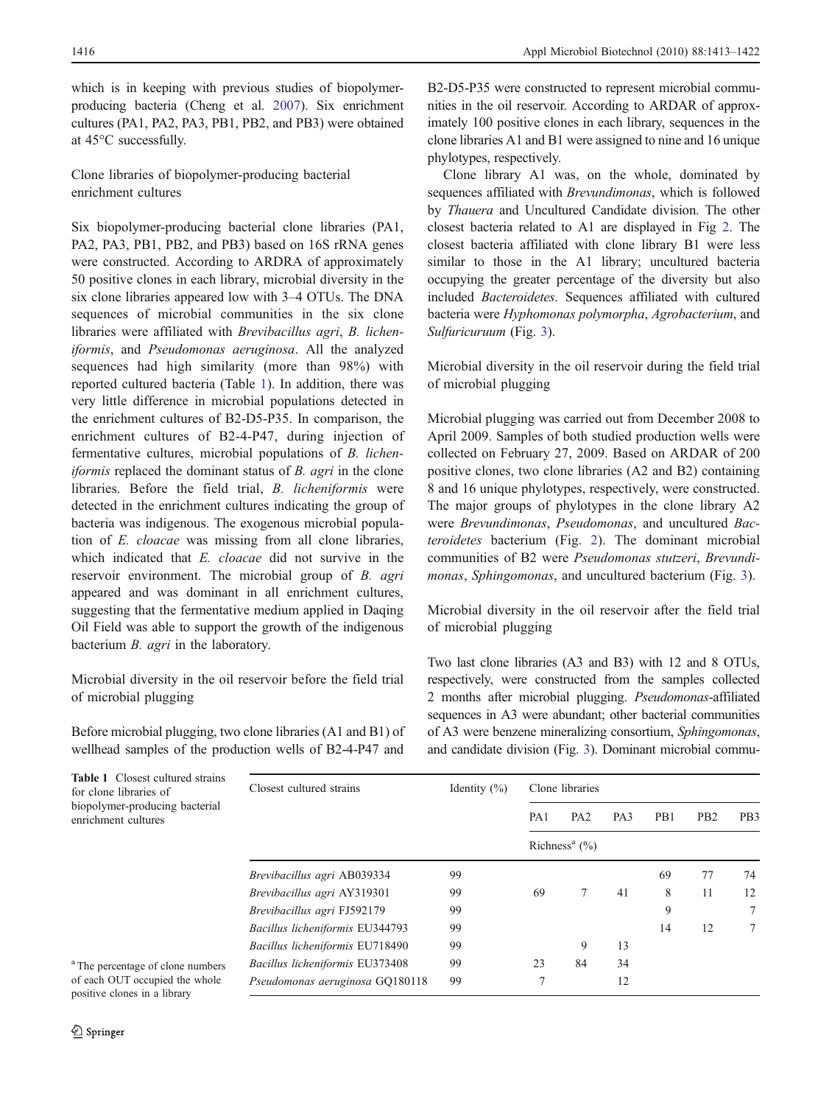which is in keeping with previous studies of biopolymerproducing bacteria (Cheng et al. [2007](#page-8-0)). Six enrichment cultures (PA1, PA2, PA3, PB1, PB2, and PB3) were obtained at 45°C successfully.

Clone libraries of biopolymer-producing bacterial enrichment cultures

Six biopolymer-producing bacterial clone libraries (PA1, PA2, PA3, PB1, PB2, and PB3) based on 16S rRNA genes were constructed. According to ARDRA of approximately 50 positive clones in each library, microbial diversity in the six clone libraries appeared low with 3–4 OTUs. The DNA sequences of microbial communities in the six clone libraries were affiliated with Brevibacillus agri, B. licheniformis, and Pseudomonas aeruginosa. All the analyzed sequences had high similarity (more than 98%) with reported cultured bacteria (Table 1). In addition, there was very little difference in microbial populations detected in the enrichment cultures of B2-D5-P35. In comparison, the enrichment cultures of B2-4-P47, during injection of fermentative cultures, microbial populations of B. lichen*iformis* replaced the dominant status of B. *agri* in the clone libraries. Before the field trial, B. licheniformis were detected in the enrichment cultures indicating the group of bacteria was indigenous. The exogenous microbial population of E. cloacae was missing from all clone libraries, which indicated that E. cloacae did not survive in the reservoir environment. The microbial group of B. agri appeared and was dominant in all enrichment cultures, suggesting that the fermentative medium applied in Daqing Oil Field was able to support the growth of the indigenous bacterium *B. agri* in the laboratory.

Microbial diversity in the oil reservoir before the field trial of microbial plugging

Before microbial plugging, two clone libraries (A1 and B1) of wellhead samples of the production wells of B2-4-P47 and

B2-D5-P35 were constructed to represent microbial communities in the oil reservoir. According to ARDAR of approximately 100 positive clones in each library, sequences in the clone libraries A1 and B1 were assigned to nine and 16 unique phylotypes, respectively.

Clone library A1 was, on the whole, dominated by sequences affiliated with *Brevundimonas*, which is followed by Thauera and Uncultured Candidate division. The other closest bacteria related to A1 are displayed in Fig [2](#page-4-0). The closest bacteria affiliated with clone library B1 were less similar to those in the A1 library; uncultured bacteria occupying the greater percentage of the diversity but also included Bacteroidetes. Sequences affiliated with cultured bacteria were Hyphomonas polymorpha, Agrobacterium, and Sulfuricuruum (Fig. [3](#page-5-0)).

Microbial diversity in the oil reservoir during the field trial of microbial plugging

Microbial plugging was carried out from December 2008 to April 2009. Samples of both studied production wells were collected on February 27, 2009. Based on ARDAR of 200 positive clones, two clone libraries (A2 and B2) containing 8 and 16 unique phylotypes, respectively, were constructed. The major groups of phylotypes in the clone library A2 were Brevundimonas, Pseudomonas, and uncultured Bacteroidetes bacterium (Fig. [2](#page-4-0)). The dominant microbial communities of B2 were Pseudomonas stutzeri, Brevundimonas, Sphingomonas, and uncultured bacterium (Fig. [3](#page-5-0)).

Microbial diversity in the oil reservoir after the field trial of microbial plugging

Two last clone libraries (A3 and B3) with 12 and 8 OTUs, respectively, were constructed from the samples collected 2 months after microbial plugging. Pseudomonas-affiliated sequences in A3 were abundant; other bacterial communities of A3 were benzene mineralizing consortium, Sphingomonas, and candidate division (Fig. [3\)](#page-5-0). Dominant microbial commu-

| Closest cultured strains           | Identity $(\% )$ | Clone libraries               |                 |                 |                  |                  |                  |
|------------------------------------|------------------|-------------------------------|-----------------|-----------------|------------------|------------------|------------------|
|                                    |                  | PA <sub>1</sub>               | PA <sub>2</sub> | PA <sub>3</sub> | P <sub>B</sub> 1 | P <sub>B</sub> 2 | P <sub>B</sub> 3 |
|                                    |                  | Richness <sup>a</sup> $(\% )$ |                 |                 |                  |                  |                  |
| Brevibacillus agri AB039334        | 99               |                               |                 |                 | 69               | 77               | 74               |
| Brevibacillus agri AY319301        | 99               | 69                            | 7               | 41              | 8                | 11               | 12               |
| <i>Brevibacillus agri</i> FJ592179 | 99               |                               |                 |                 | 9                |                  |                  |
| Bacillus licheniformis EU344793    | 99               |                               |                 |                 | 14               | 12               |                  |
| Bacillus licheniformis EU718490    | 99               |                               | 9               | 13              |                  |                  |                  |
| Bacillus licheniformis EU373408    | 99               | 23                            | 84              | 34              |                  |                  |                  |
| Pseudomonas aeruginosa GQ180118    | 99               |                               |                 | 12              |                  |                  |                  |

Table 1 Closest cultured strains for clone libraries of biopolymer-producing bacterial enrichment cultures

<sup>a</sup> The percentage of clone numbers of each OUT occupied the whole positive clones in a library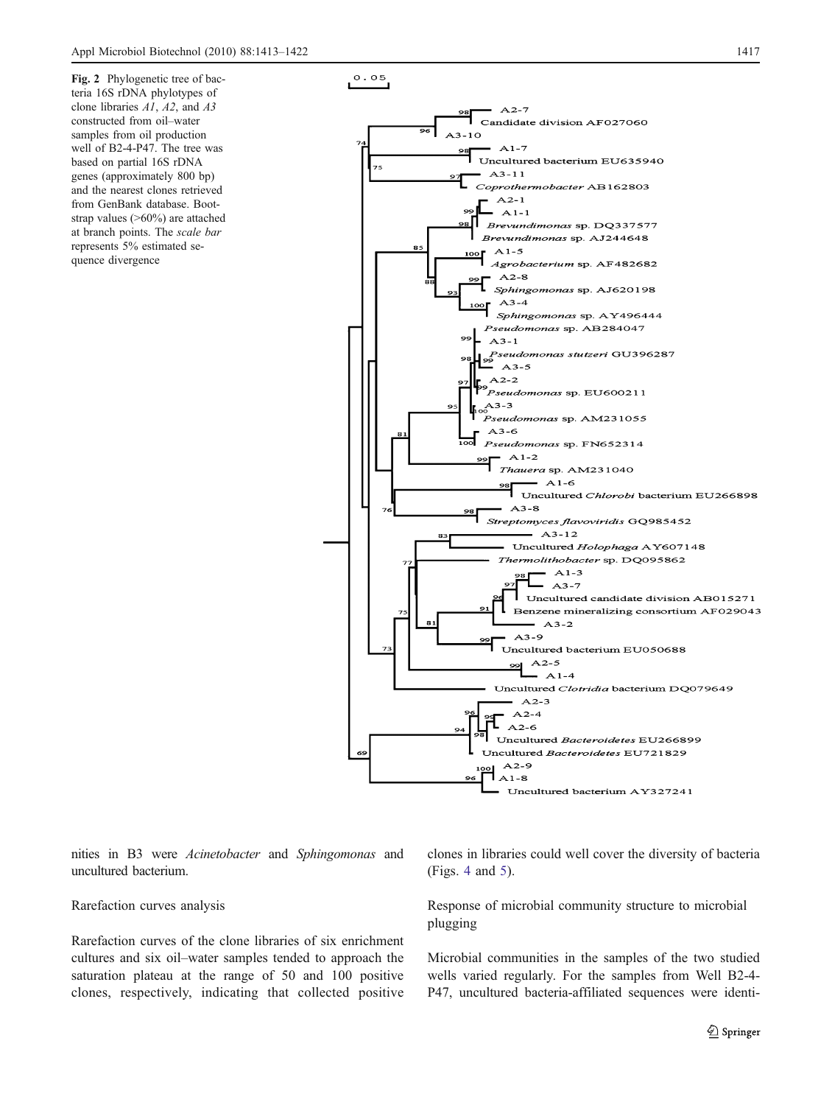<span id="page-4-0"></span>Fig. 2 Phylogenetic tree of bacteria 16S rDNA phylotypes of clone libraries A1, A2, and A3 constructed from oil–water samples from oil production well of B2-4-P47. The tree was based on partial 16S rDNA genes (approximately 800 bp) and the nearest clones retrieved from GenBank database. Bootstrap values (>60%) are attached at branch points. The scale bar represents 5% estimated sequence divergence



nities in B3 were Acinetobacter and Sphingomonas and uncultured bacterium.

Rarefaction curves analysis

Rarefaction curves of the clone libraries of six enrichment cultures and six oil–water samples tended to approach the saturation plateau at the range of 50 and 100 positive clones, respectively, indicating that collected positive clones in libraries could well cover the diversity of bacteria (Figs. [4](#page-6-0) and [5](#page-6-0)).

Response of microbial community structure to microbial plugging

Microbial communities in the samples of the two studied wells varied regularly. For the samples from Well B2-4- P47, uncultured bacteria-affiliated sequences were identi-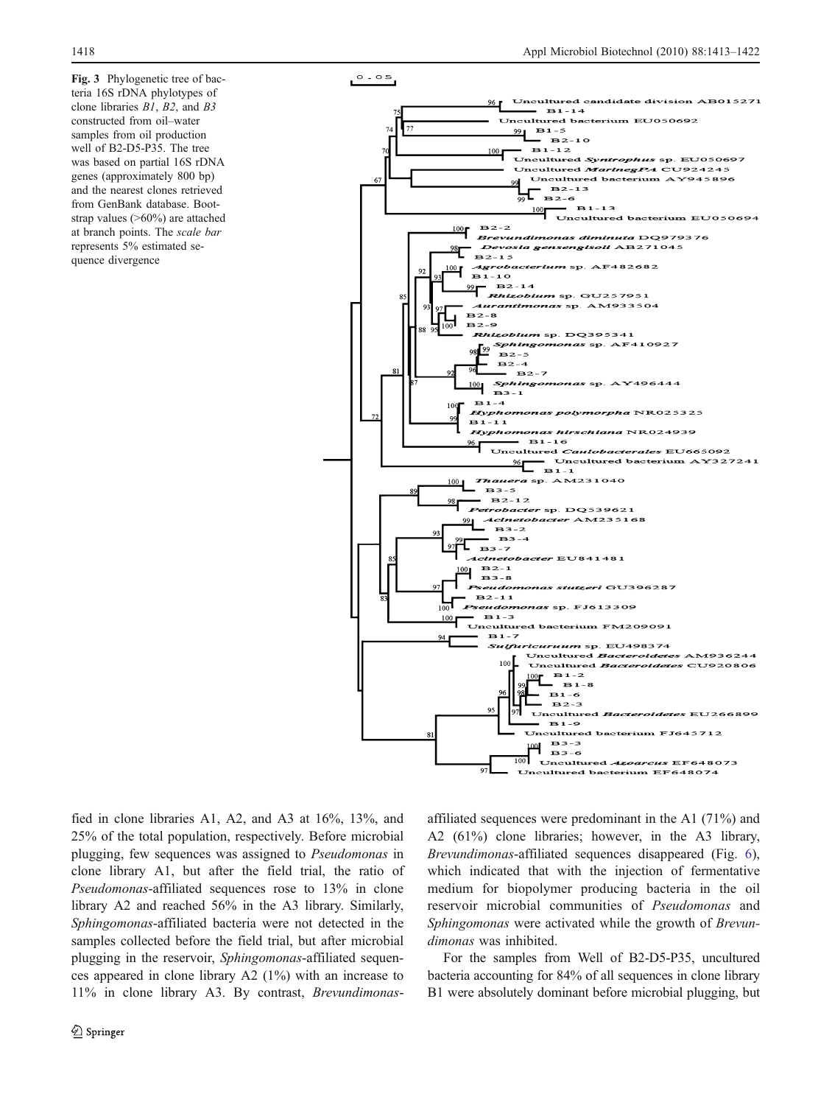<span id="page-5-0"></span>Fig. 3 Phylogenetic tree of bacteria 16S rDNA phylotypes of clone libraries B1, B2, and B3 constructed from oil–water samples from oil production well of B2-D5-P35. The tree was based on partial 16S rDNA genes (approximately 800 bp) and the nearest clones retrieved from GenBank database. Bootstrap values (>60%) are attached at branch points. The scale bar represents 5% estimated sequence divergence



fied in clone libraries A1, A2, and A3 at 16%, 13%, and 25% of the total population, respectively. Before microbial plugging, few sequences was assigned to Pseudomonas in clone library A1, but after the field trial, the ratio of Pseudomonas-affiliated sequences rose to 13% in clone library A2 and reached 56% in the A3 library. Similarly, Sphingomonas-affiliated bacteria were not detected in the samples collected before the field trial, but after microbial plugging in the reservoir, Sphingomonas-affiliated sequences appeared in clone library A2 (1%) with an increase to 11% in clone library A3. By contrast, Brevundimonasaffiliated sequences were predominant in the A1 (71%) and A2 (61%) clone libraries; however, in the A3 library, Brevundimonas-affiliated sequences disappeared (Fig. [6\)](#page-7-0), which indicated that with the injection of fermentative medium for biopolymer producing bacteria in the oil reservoir microbial communities of Pseudomonas and Sphingomonas were activated while the growth of Brevundimonas was inhibited.

For the samples from Well of B2-D5-P35, uncultured bacteria accounting for 84% of all sequences in clone library B1 were absolutely dominant before microbial plugging, but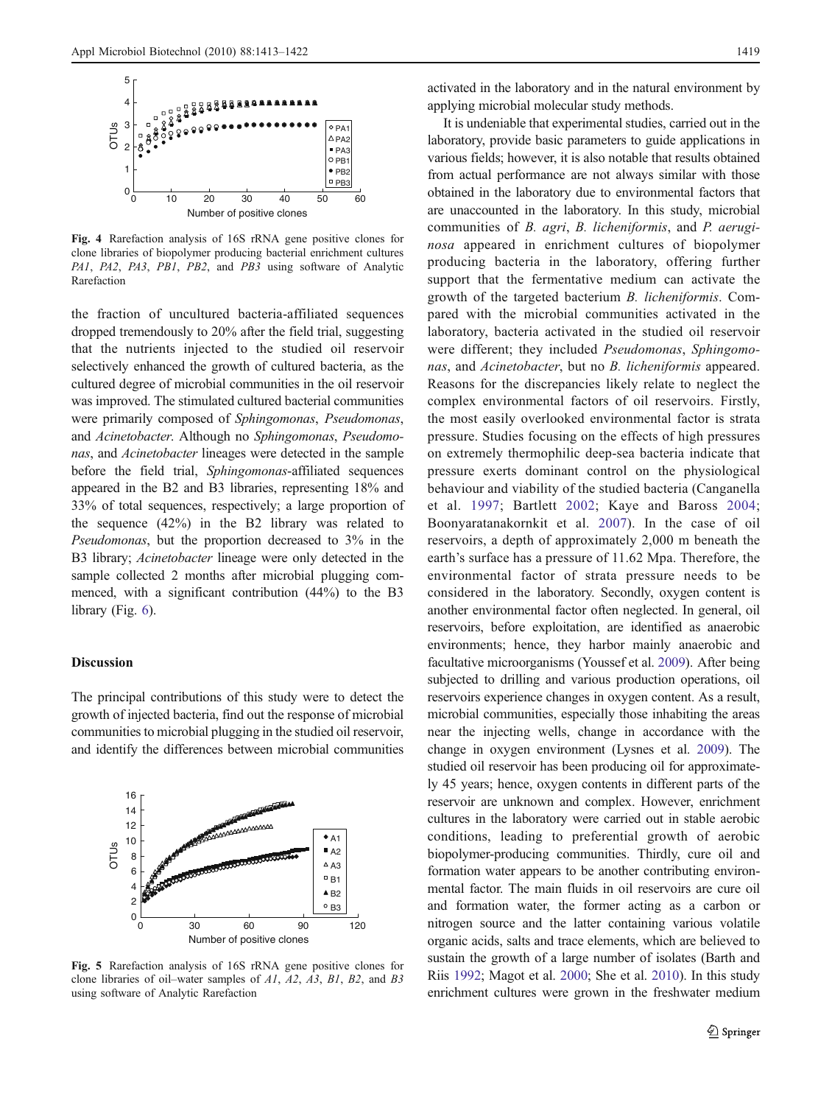<span id="page-6-0"></span>

Fig. 4 Rarefaction analysis of 16S rRNA gene positive clones for clone libraries of biopolymer producing bacterial enrichment cultures PA1, PA2, PA3, PB1, PB2, and PB3 using software of Analytic Rarefaction

the fraction of uncultured bacteria-affiliated sequences dropped tremendously to 20% after the field trial, suggesting that the nutrients injected to the studied oil reservoir selectively enhanced the growth of cultured bacteria, as the cultured degree of microbial communities in the oil reservoir was improved. The stimulated cultured bacterial communities were primarily composed of Sphingomonas, Pseudomonas, and Acinetobacter. Although no Sphingomonas, Pseudomonas, and Acinetobacter lineages were detected in the sample before the field trial, Sphingomonas-affiliated sequences appeared in the B2 and B3 libraries, representing 18% and 33% of total sequences, respectively; a large proportion of the sequence (42%) in the B2 library was related to Pseudomonas, but the proportion decreased to 3% in the B3 library; Acinetobacter lineage were only detected in the sample collected 2 months after microbial plugging commenced, with a significant contribution (44%) to the B3 library (Fig. [6](#page-7-0)).

## Discussion

The principal contributions of this study were to detect the growth of injected bacteria, find out the response of microbial communities to microbial plugging in the studied oil reservoir, and identify the differences between microbial communities



Fig. 5 Rarefaction analysis of 16S rRNA gene positive clones for clone libraries of oil–water samples of A1, A2, A3, B1, B2, and B3 using software of Analytic Rarefaction

activated in the laboratory and in the natural environment by applying microbial molecular study methods.

It is undeniable that experimental studies, carried out in the laboratory, provide basic parameters to guide applications in various fields; however, it is also notable that results obtained from actual performance are not always similar with those obtained in the laboratory due to environmental factors that are unaccounted in the laboratory. In this study, microbial communities of B. agri, B. licheniformis, and P. aeruginosa appeared in enrichment cultures of biopolymer producing bacteria in the laboratory, offering further support that the fermentative medium can activate the growth of the targeted bacterium B. licheniformis. Compared with the microbial communities activated in the laboratory, bacteria activated in the studied oil reservoir were different; they included Pseudomonas, Sphingomonas, and Acinetobacter, but no B. licheniformis appeared. Reasons for the discrepancies likely relate to neglect the complex environmental factors of oil reservoirs. Firstly, the most easily overlooked environmental factor is strata pressure. Studies focusing on the effects of high pressures on extremely thermophilic deep-sea bacteria indicate that pressure exerts dominant control on the physiological behaviour and viability of the studied bacteria (Canganella et al. [1997;](#page-8-0) Bartlett [2002](#page-8-0); Kaye and Baross [2004;](#page-8-0) Boonyaratanakornkit et al. [2007](#page-8-0)). In the case of oil reservoirs, a depth of approximately 2,000 m beneath the earth's surface has a pressure of 11.62 Mpa. Therefore, the environmental factor of strata pressure needs to be considered in the laboratory. Secondly, oxygen content is another environmental factor often neglected. In general, oil reservoirs, before exploitation, are identified as anaerobic environments; hence, they harbor mainly anaerobic and facultative microorganisms (Youssef et al. [2009\)](#page-9-0). After being subjected to drilling and various production operations, oil reservoirs experience changes in oxygen content. As a result, microbial communities, especially those inhabiting the areas near the injecting wells, change in accordance with the change in oxygen environment (Lysnes et al. [2009\)](#page-8-0). The studied oil reservoir has been producing oil for approximately 45 years; hence, oxygen contents in different parts of the reservoir are unknown and complex. However, enrichment cultures in the laboratory were carried out in stable aerobic conditions, leading to preferential growth of aerobic biopolymer-producing communities. Thirdly, cure oil and formation water appears to be another contributing environmental factor. The main fluids in oil reservoirs are cure oil and formation water, the former acting as a carbon or nitrogen source and the latter containing various volatile organic acids, salts and trace elements, which are believed to sustain the growth of a large number of isolates (Barth and Riis [1992](#page-8-0); Magot et al. [2000;](#page-8-0) She et al. [2010](#page-9-0)). In this study enrichment cultures were grown in the freshwater medium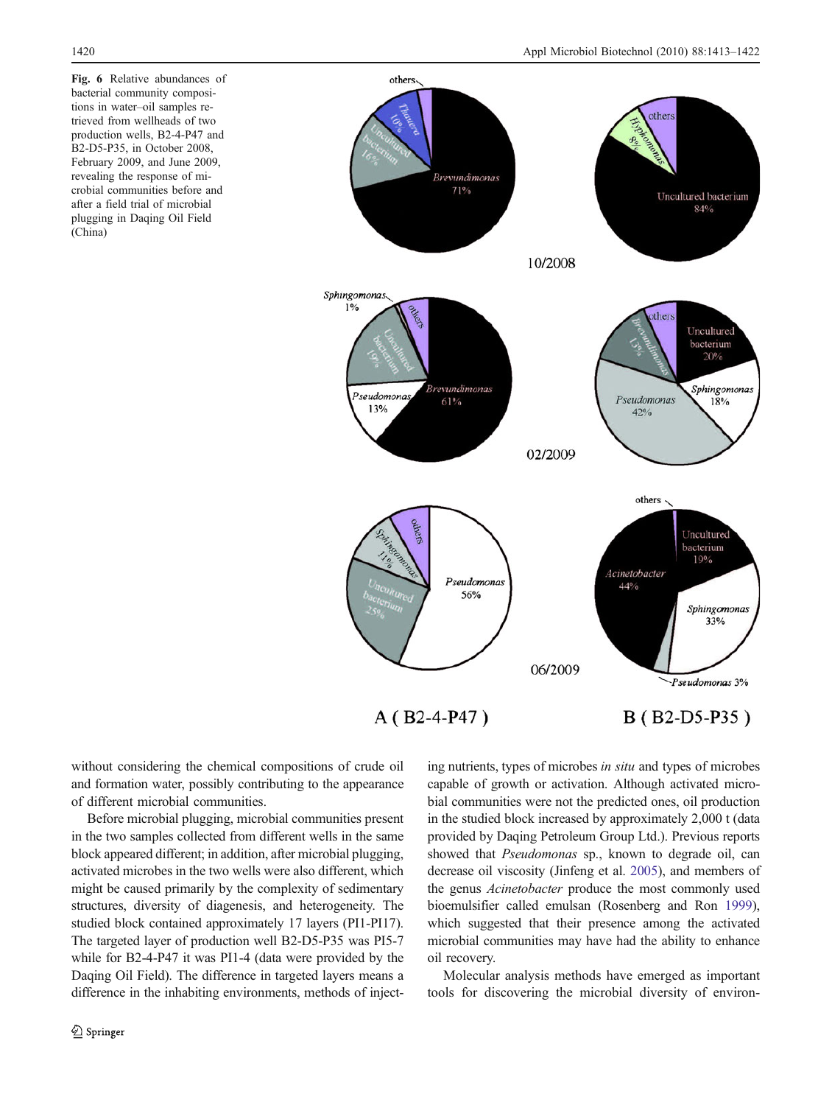<span id="page-7-0"></span>Fig. 6 Relative abundances of bacterial community compositions in water–oil samples retrieved from wellheads of two production wells, B2-4-P47 and B2-D5-P35, in October 2008, February 2009, and June 2009, revealing the response of microbial communities before and after a field trial of microbial plugging in Daqing Oil Field (China)



without considering the chemical compositions of crude oil and formation water, possibly contributing to the appearance of different microbial communities.

Before microbial plugging, microbial communities present in the two samples collected from different wells in the same block appeared different; in addition, after microbial plugging, activated microbes in the two wells were also different, which might be caused primarily by the complexity of sedimentary structures, diversity of diagenesis, and heterogeneity. The studied block contained approximately 17 layers (PI1-PI17). The targeted layer of production well B2-D5-P35 was PI5-7 while for B2-4-P47 it was PI1-4 (data were provided by the Daqing Oil Field). The difference in targeted layers means a difference in the inhabiting environments, methods of injecting nutrients, types of microbes in situ and types of microbes capable of growth or activation. Although activated microbial communities were not the predicted ones, oil production in the studied block increased by approximately 2,000 t (data provided by Daqing Petroleum Group Ltd.). Previous reports showed that Pseudomonas sp., known to degrade oil, can decrease oil viscosity (Jinfeng et al. [2005](#page-8-0)), and members of the genus Acinetobacter produce the most commonly used bioemulsifier called emulsan (Rosenberg and Ron [1999\)](#page-9-0), which suggested that their presence among the activated microbial communities may have had the ability to enhance oil recovery.

Molecular analysis methods have emerged as important tools for discovering the microbial diversity of environ-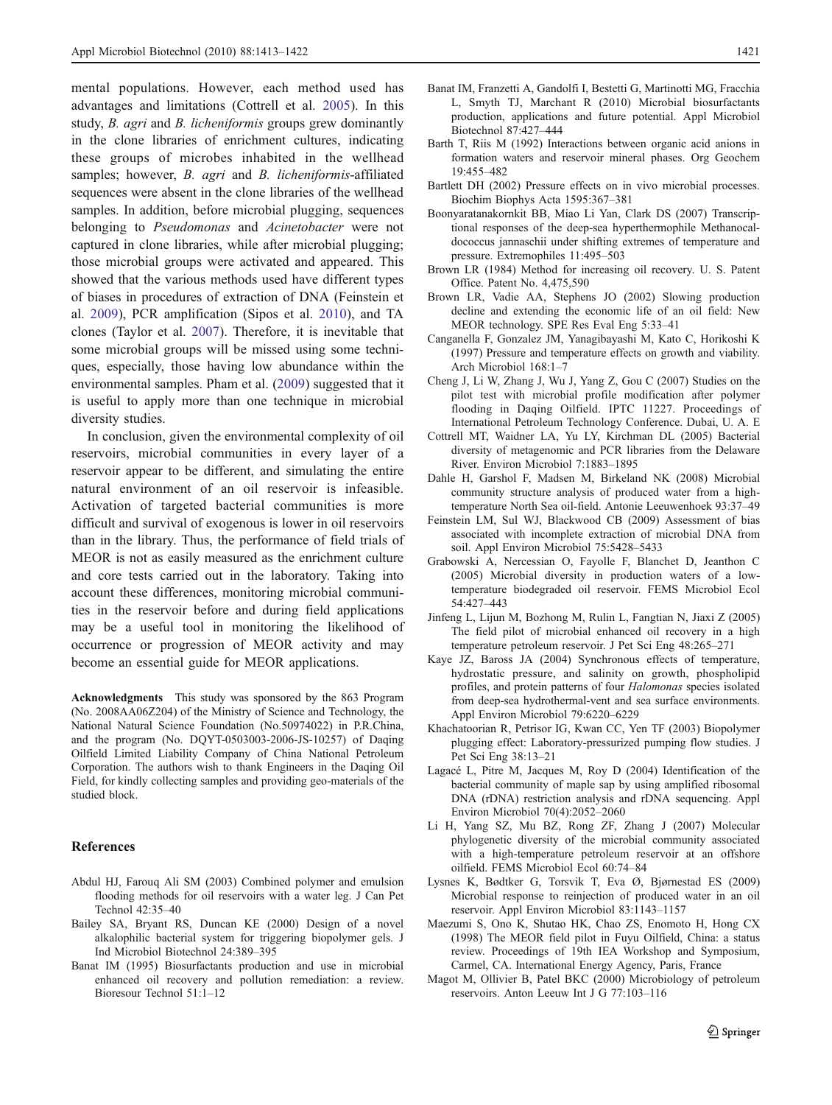<span id="page-8-0"></span>mental populations. However, each method used has advantages and limitations (Cottrell et al. 2005). In this study, *B. agri* and *B. licheniformis* groups grew dominantly in the clone libraries of enrichment cultures, indicating these groups of microbes inhabited in the wellhead samples; however, B. agri and B. licheniformis-affiliated sequences were absent in the clone libraries of the wellhead samples. In addition, before microbial plugging, sequences belonging to Pseudomonas and Acinetobacter were not captured in clone libraries, while after microbial plugging; those microbial groups were activated and appeared. This showed that the various methods used have different types of biases in procedures of extraction of DNA (Feinstein et al. 2009), PCR amplification (Sipos et al. [2010](#page-9-0)), and TA clones (Taylor et al. [2007](#page-9-0)). Therefore, it is inevitable that some microbial groups will be missed using some techniques, especially, those having low abundance within the environmental samples. Pham et al. [\(2009](#page-9-0)) suggested that it is useful to apply more than one technique in microbial diversity studies.

In conclusion, given the environmental complexity of oil reservoirs, microbial communities in every layer of a reservoir appear to be different, and simulating the entire natural environment of an oil reservoir is infeasible. Activation of targeted bacterial communities is more difficult and survival of exogenous is lower in oil reservoirs than in the library. Thus, the performance of field trials of MEOR is not as easily measured as the enrichment culture and core tests carried out in the laboratory. Taking into account these differences, monitoring microbial communities in the reservoir before and during field applications may be a useful tool in monitoring the likelihood of occurrence or progression of MEOR activity and may become an essential guide for MEOR applications.

Acknowledgments This study was sponsored by the 863 Program (No. 2008AA06Z204) of the Ministry of Science and Technology, the National Natural Science Foundation (No.50974022) in P.R.China, and the program (No. DQYT-0503003-2006-JS-10257) of Daqing Oilfield Limited Liability Company of China National Petroleum Corporation. The authors wish to thank Engineers in the Daqing Oil Field, for kindly collecting samples and providing geo-materials of the studied block.

## **References**

- Abdul HJ, Farouq Ali SM (2003) Combined polymer and emulsion flooding methods for oil reservoirs with a water leg. J Can Pet Technol 42:35–40
- Bailey SA, Bryant RS, Duncan KE (2000) Design of a novel alkalophilic bacterial system for triggering biopolymer gels. J Ind Microbiol Biotechnol 24:389–395
- Banat IM (1995) Biosurfactants production and use in microbial enhanced oil recovery and pollution remediation: a review. Bioresour Technol 51:1–12
- Banat IM, Franzetti A, Gandolfi I, Bestetti G, Martinotti MG, Fracchia L, Smyth TJ, Marchant R (2010) Microbial biosurfactants production, applications and future potential. Appl Microbiol Biotechnol 87:427–444
- Barth T, Riis M (1992) Interactions between organic acid anions in formation waters and reservoir mineral phases. Org Geochem 19:455–482
- Bartlett DH (2002) Pressure effects on in vivo microbial processes. Biochim Biophys Acta 1595:367–381
- Boonyaratanakornkit BB, Miao Li Yan, Clark DS (2007) Transcriptional responses of the deep-sea hyperthermophile Methanocaldococcus jannaschii under shifting extremes of temperature and pressure. Extremophiles 11:495–503
- Brown LR (1984) Method for increasing oil recovery. U. S. Patent Office. Patent No. 4,475,590
- Brown LR, Vadie AA, Stephens JO (2002) Slowing production decline and extending the economic life of an oil field: New MEOR technology. SPE Res Eval Eng 5:33–41
- Canganella F, Gonzalez JM, Yanagibayashi M, Kato C, Horikoshi K (1997) Pressure and temperature effects on growth and viability. Arch Microbiol 168:1–7
- Cheng J, Li W, Zhang J, Wu J, Yang Z, Gou C (2007) Studies on the pilot test with microbial profile modification after polymer flooding in Daqing Oilfield. IPTC 11227. Proceedings of International Petroleum Technology Conference. Dubai, U. A. E
- Cottrell MT, Waidner LA, Yu LY, Kirchman DL (2005) Bacterial diversity of metagenomic and PCR libraries from the Delaware River. Environ Microbiol 7:1883–1895
- Dahle H, Garshol F, Madsen M, Birkeland NK (2008) Microbial community structure analysis of produced water from a hightemperature North Sea oil-field. Antonie Leeuwenhoek 93:37–49
- Feinstein LM, Sul WJ, Blackwood CB (2009) Assessment of bias associated with incomplete extraction of microbial DNA from soil. Appl Environ Microbiol 75:5428–5433
- Grabowski A, Nercessian O, Fayolle F, Blanchet D, Jeanthon C (2005) Microbial diversity in production waters of a lowtemperature biodegraded oil reservoir. FEMS Microbiol Ecol 54:427–443
- Jinfeng L, Lijun M, Bozhong M, Rulin L, Fangtian N, Jiaxi Z (2005) The field pilot of microbial enhanced oil recovery in a high temperature petroleum reservoir. J Pet Sci Eng 48:265–271
- Kaye JZ, Baross JA (2004) Synchronous effects of temperature, hydrostatic pressure, and salinity on growth, phospholipid profiles, and protein patterns of four Halomonas species isolated from deep-sea hydrothermal-vent and sea surface environments. Appl Environ Microbiol 79:6220–6229
- Khachatoorian R, Petrisor IG, Kwan CC, Yen TF (2003) Biopolymer plugging effect: Laboratory-pressurized pumping flow studies. J Pet Sci Eng 38:13–21
- Lagacé L, Pitre M, Jacques M, Roy D (2004) Identification of the bacterial community of maple sap by using amplified ribosomal DNA (rDNA) restriction analysis and rDNA sequencing. Appl Environ Microbiol 70(4):2052–2060
- Li H, Yang SZ, Mu BZ, Rong ZF, Zhang J (2007) Molecular phylogenetic diversity of the microbial community associated with a high-temperature petroleum reservoir at an offshore oilfield. FEMS Microbiol Ecol 60:74–84
- Lysnes K, Bødtker G, Torsvik T, Eva Ø, Bjørnestad ES (2009) Microbial response to reinjection of produced water in an oil reservoir. Appl Environ Microbiol 83:1143–1157
- Maezumi S, Ono K, Shutao HK, Chao ZS, Enomoto H, Hong CX (1998) The MEOR field pilot in Fuyu Oilfield, China: a status review. Proceedings of 19th IEA Workshop and Symposium, Carmel, CA. International Energy Agency, Paris, France
- Magot M, Ollivier B, Patel BKC (2000) Microbiology of petroleum reservoirs. Anton Leeuw Int J G 77:103–116